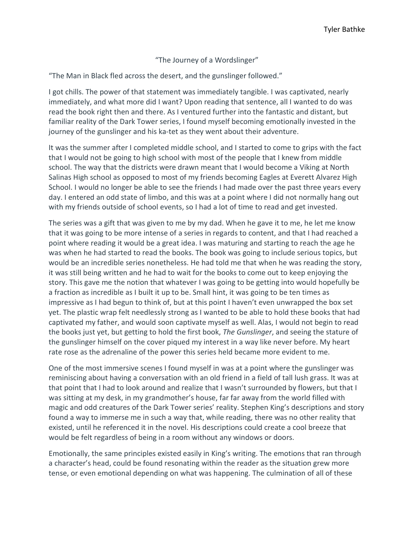"The Journey of a Wordslinger"

"The Man in Black fled across the desert, and the gunslinger followed."

I got chills. The power of that statement was immediately tangible. I was captivated, nearly immediately, and what more did I want? Upon reading that sentence, all I wanted to do was read the book right then and there. As I ventured further into the fantastic and distant, but familiar reality of the Dark Tower series, I found myself becoming emotionally invested in the journey of the gunslinger and his ka-tet as they went about their adventure.

It was the summer after I completed middle school, and I started to come to grips with the fact that I would not be going to high school with most of the people that I knew from middle school. The way that the districts were drawn meant that I would become a Viking at North Salinas High school as opposed to most of my friends becoming Eagles at Everett Alvarez High School. I would no longer be able to see the friends I had made over the past three years every day. I entered an odd state of limbo, and this was at a point where I did not normally hang out with my friends outside of school events, so I had a lot of time to read and get invested.

The series was a gift that was given to me by my dad. When he gave it to me, he let me know that it was going to be more intense of a series in regards to content, and that I had reached a point where reading it would be a great idea. I was maturing and starting to reach the age he was when he had started to read the books. The book was going to include serious topics, but would be an incredible series nonetheless. He had told me that when he was reading the story, it was still being written and he had to wait for the books to come out to keep enjoying the story. This gave me the notion that whatever I was going to be getting into would hopefully be a fraction as incredible as I built it up to be. Small hint, it was going to be ten times as impressive as I had begun to think of, but at this point I haven't even unwrapped the box set yet. The plastic wrap felt needlessly strong as I wanted to be able to hold these books that had captivated my father, and would soon captivate myself as well. Alas, I would not begin to read the books just yet, but getting to hold the first book, *The Gunslinger*, and seeing the stature of the gunslinger himself on the cover piqued my interest in a way like never before. My heart rate rose as the adrenaline of the power this series held became more evident to me.

One of the most immersive scenes I found myself in was at a point where the gunslinger was reminiscing about having a conversation with an old friend in a field of tall lush grass. It was at that point that I had to look around and realize that I wasn't surrounded by flowers, but that I was sitting at my desk, in my grandmother's house, far far away from the world filled with magic and odd creatures of the Dark Tower series' reality. Stephen King's descriptions and story found a way to immerse me in such a way that, while reading, there was no other reality that existed, until he referenced it in the novel. His descriptions could create a cool breeze that would be felt regardless of being in a room without any windows or doors.

Emotionally, the same principles existed easily in King's writing. The emotions that ran through a character's head, could be found resonating within the reader as the situation grew more tense, or even emotional depending on what was happening. The culmination of all of these